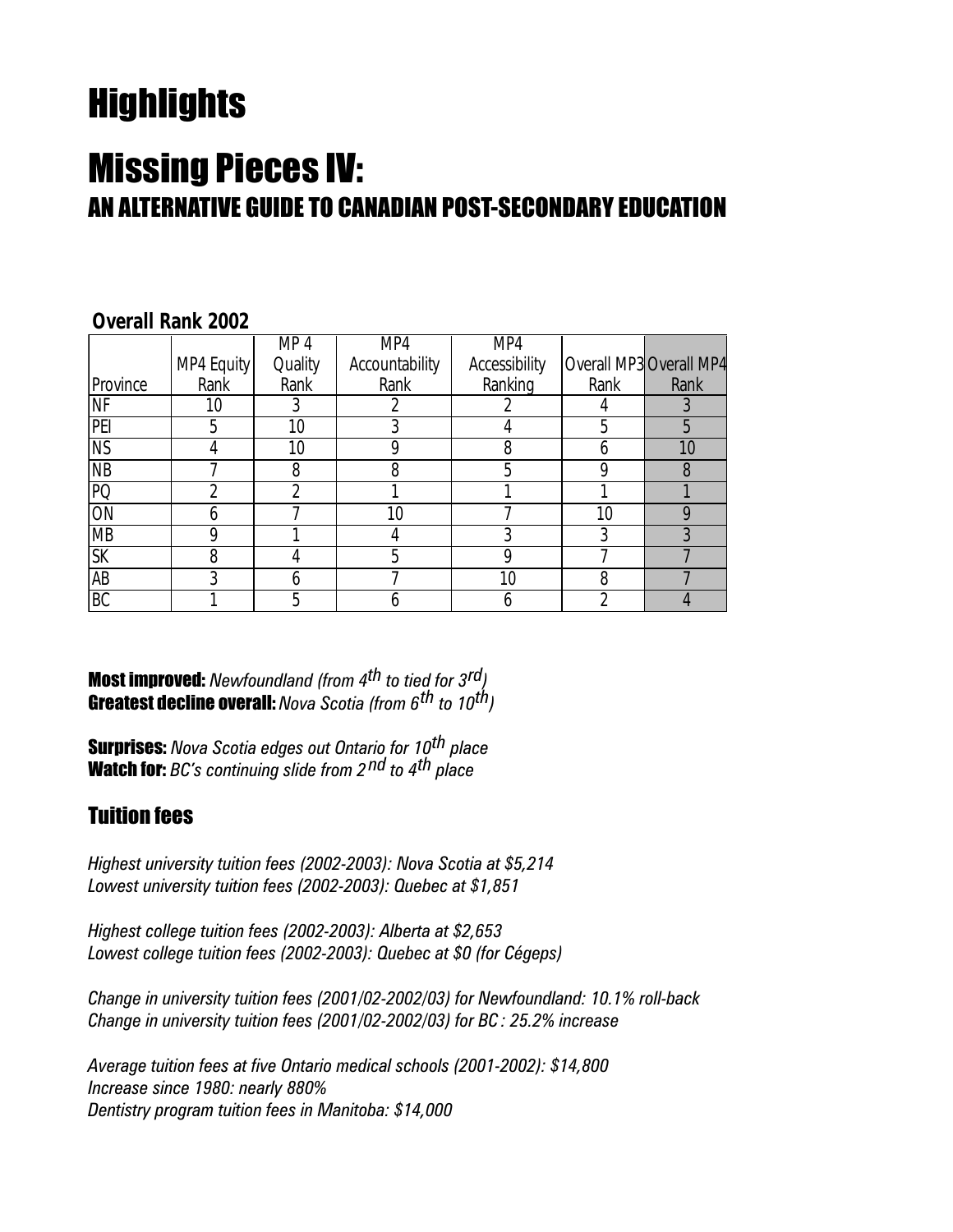# **Highlights**

## Missing Pieces IV: AN ALTERNATIVE GUIDE TO CANADIAN POST-SECONDARY EDUCATION

|                        |            | MP 4            | MP4            | MP4           |      |                         |
|------------------------|------------|-----------------|----------------|---------------|------|-------------------------|
|                        | MP4 Equity | Quality         | Accountability | Accessibility |      | Overall MP3 Overall MP4 |
| Province               | Rank       | Rank            | Rank           | Ranking       | Rank | Rank                    |
| <b>NF</b>              | 10         | 3               |                |               |      |                         |
| PEI                    | 5          | 10 <sup>1</sup> |                |               | 5    |                         |
| $\overline{\text{NS}}$ |            | 10              |                | 8             | n    | 10                      |
| $\overline{MB}$        |            | 8               | 8              |               |      | 8                       |
| PQ                     |            |                 |                |               |      |                         |
| ON                     |            |                 | 10             |               | 10   |                         |
| <b>MB</b>              |            |                 |                |               |      |                         |
| $\overline{\text{SK}}$ | 8          |                 | h              |               |      |                         |
| $\overline{AB}$        | የ          |                 |                | 10            | 8    |                         |
| $\overline{BC}$        |            | 5               |                |               |      |                         |

#### **Overall Rank 2002**

**Most improved:** Newfoundland (from  $4^{th}$  to tied for  $3^{rd}$ ) **Greatest decline overall:** Nova Scotia (from 6<sup>th</sup> to 10<sup>th</sup>)

**Surprises:** Nova Scotia edges out Ontario for 10<sup>th</sup> place **Watch for:** BC's continuing slide from  $2^{nd}$  to  $4^{th}$  place

#### Tuition fees

Highest university tuition fees (2002-2003): Nova Scotia at \$5,214 Lowest university tuition fees (2002-2003): Quebec at \$1,851

Highest college tuition fees (2002-2003): Alberta at \$2,653 Lowest college tuition fees (2002-2003): Quebec at \$0 (for Cégeps)

Change in university tuition fees (2001/02-2002/03) for Newfoundland: 10.1% roll-back Change in university tuition fees (2001/02-2002/03) for BC : 25.2% increase

Average tuition fees at five Ontario medical schools (2001-2002): \$14,800 Increase since 1980: nearly 880% Dentistry program tuition fees in Manitoba: \$14,000